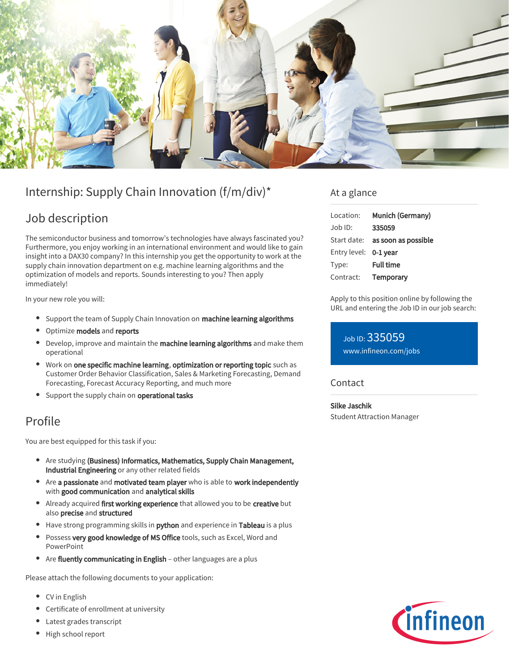

# Internship: Supply Chain Innovation (f/m/div)\*

## Job description

The semiconductor business and tomorrow's technologies have always fascinated you? Furthermore, you enjoy working in an international environment and would like to gain insight into a DAX30 company? In this internship you get the opportunity to work at the supply chain innovation department on e.g. machine learning algorithms and the optimization of models and reports. Sounds interesting to you? Then apply immediately!

In your new role you will:

- Support the team of Supply Chain Innovation on machine learning algorithms
- Optimize models and reports
- Develop, improve and maintain the machine learning algorithms and make them operational
- Work on one specific machine learning, optimization or reporting topic such as Customer Order Behavior Classification, Sales & Marketing Forecasting, Demand Forecasting, Forecast Accuracy Reporting, and much more
- Support the supply chain on operational tasks

### Profile

You are best equipped for this task if you:

- Are studying (Business) Informatics, Mathematics, Supply Chain Management, Industrial Engineering or any other related fields
- Are a passionate and motivated team player who is able to work independently with good communication and analytical skills
- Already acquired first working experience that allowed you to be creative but also precise and structured
- Have strong programming skills in **python** and experience in Tableau is a plus
- Possess very good knowledge of MS Office tools, such as Excel, Word and PowerPoint
- Are fluently communicating in English other languages are a plus

Please attach the following documents to your application:

- CV in English
- Certificate of enrollment at university
- Latest grades transcript
- High school report

### At a glance

| Location:             | Munich (Germany)                       |
|-----------------------|----------------------------------------|
| $Job$ ID:             | 335059                                 |
|                       | Start date: <b>as soon as possible</b> |
| Entry level: 0-1 year |                                        |
| Type:                 | <b>Full time</b>                       |
| Contract:             | Temporary                              |

Apply to this position online by following the URL and entering the Job ID in our job search:

Job ID: 335059 [www.infineon.com/jobs](https://www.infineon.com/jobs)

#### **Contact**

Silke Jaschik Student Attraction Manager